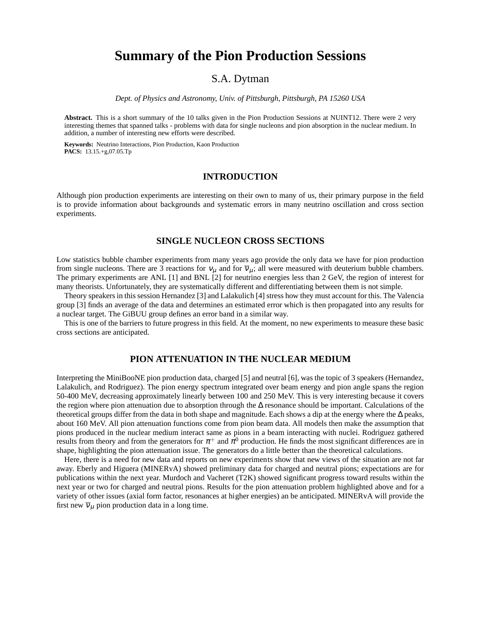# **Summary of the Pion Production Sessions**

# S.A. Dytman

*Dept. of Physics and Astronomy, Univ. of Pittsburgh, Pittsburgh, PA 15260 USA*

**Abstract.** This is a short summary of the 10 talks given in the Pion Production Sessions at NUINT12. There were 2 very interesting themes that spanned talks - problems with data for single nucleons and pion absorption in the nuclear medium. In addition, a number of interesting new efforts were described.

**Keywords:** Neutrino Interactions, Pion Production, Kaon Production **PACS:** 13.15.+g,07.05.Tp

## **INTRODUCTION**

Although pion production experiments are interesting on their own to many of us, their primary purpose in the field is to provide information about backgrounds and systematic errors in many neutrino oscillation and cross section experiments.

#### **SINGLE NUCLEON CROSS SECTIONS**

Low statistics bubble chamber experiments from many years ago provide the only data we have for pion production from single nucleons. There are 3 reactions for  $v_u$  and for  $\overline{v}_u$ ; all were measured with deuterium bubble chambers. The primary experiments are ANL [1] and BNL [2] for neutrino energies less than 2 GeV, the region of interest for many theorists. Unfortunately, they are systematically different and differentiating between them is not simple.

Theory speakers in this session Hernandez [3] and Lalakulich [4] stress how they must account for this. The Valencia group [3] finds an average of the data and determines an estimated error which is then propagated into any results for a nuclear target. The GiBUU group defines an error band in a similar way.

This is one of the barriers to future progress in this field. At the moment, no new experiments to measure these basic cross sections are anticipated.

### **PION ATTENUATION IN THE NUCLEAR MEDIUM**

Interpreting the MiniBooNE pion production data, charged [5] and neutral [6], was the topic of 3 speakers (Hernandez, Lalakulich, and Rodriguez). The pion energy spectrum integrated over beam energy and pion angle spans the region 50-400 MeV, decreasing approximately linearly between 100 and 250 MeV. This is very interesting because it covers the region where pion attenuation due to absorption through the ∆ resonance should be important. Calculations of the theoretical groups differ from the data in both shape and magnitude. Each shows a dip at the energy where the ∆ peaks, about 160 MeV. All pion attenuation functions come from pion beam data. All models then make the assumption that pions produced in the nuclear medium interact same as pions in a beam interacting with nuclei. Rodriguez gathered results from theory and from the generators for  $\pi^+$  and  $\pi^0$  production. He finds the most significant differences are in shape, highlighting the pion attenuation issue. The generators do a little better than the theoretical calculations.

Here, there is a need for new data and reports on new experiments show that new views of the situation are not far away. Eberly and Higuera (MINERvA) showed preliminary data for charged and neutral pions; expectations are for publications within the next year. Murdoch and Vacheret (T2K) showed significant progress toward results within the next year or two for charged and neutral pions. Results for the pion attenuation problem highlighted above and for a variety of other issues (axial form factor, resonances at higher energies) an be anticipated. MINERvA will provide the first new  $\overline{v}_\mu$  pion production data in a long time.